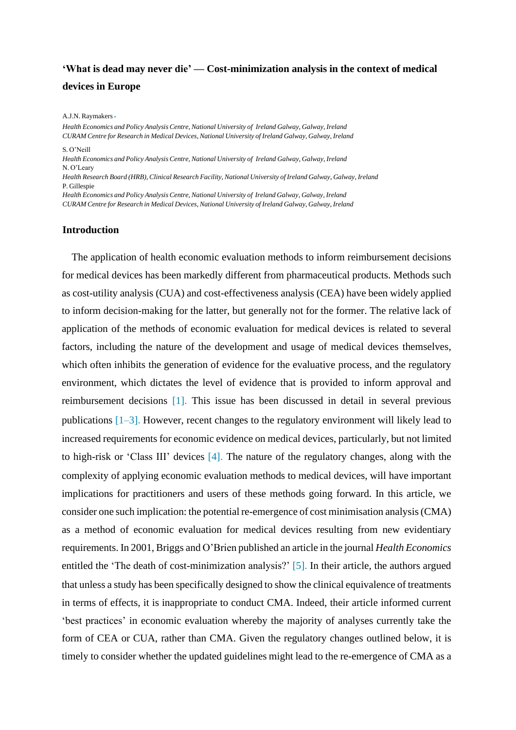## **'What is dead may never die' — Cost-minimization analysis in the context of medical devices in Europe**

A.J.N. Raymakers ∗

*Health Economics and Policy Analysis Centre, National University of Ireland Galway, Galway, Ireland CURAM Centre for Research in Medical Devices, National University of Ireland Galway, Galway, Ireland* S. O'Neill *Health Economics and Policy Analysis Centre, National University of Ireland Galway, Galway, Ireland* N. O'Leary *Health Research Board (HRB),Clinical Research Facility, National University of Ireland Galway, Galway, Ireland* P. Gillespie *Health Economics and Policy Analysis Centre, National University of Ireland Galway, Galway, Ireland CURAM Centre for Research in Medical Devices, National University of Ireland Galway, Galway, Ireland*

#### **Introduction**

The application of health economic evaluation methods to inform reimbursement decisions for medical devices has been markedly different from pharmaceutical products. Methods such as cost-utility analysis (CUA) and cost-effectiveness analysis (CEA) have been widely applied to inform decision-making for the latter, but generally not for the former. The relative lack of application of the methods of economic evaluation for medical devices is related to several factors, including the nature of the development and usage of medical devices themselves, which often inhibits the generation of evidence for the evaluative process, and the regulatory environment, which dictates the level of evidence that is provided to inform approval and reimbursement decisions [1]. This issue has been discussed in detail in several previous publications [1–3]. However, recent changes to the regulatory environment will likely lead to increased requirements for economic evidence on medical devices, particularly, but not limited to high-risk or 'Class III' devices [4]. The nature of the regulatory changes, along with the complexity of applying economic evaluation methods to medical devices, will have important implications for practitioners and users of these methods going forward. In this article, we consider one such implication: the potential re-emergence of cost minimisation analysis(CMA) as a method of economic evaluation for medical devices resulting from new evidentiary requirements. In 2001, Briggs and O'Brien published an article in the journal *Health Economics* entitled the 'The death of cost-minimization analysis?' [5]. In their article, the authors argued that unless a study has been specifically designed to show the clinical equivalence of treatments in terms of effects, it is inappropriate to conduct CMA. Indeed, their article informed current 'best practices' in economic evaluation whereby the majority of analyses currently take the form of CEA or CUA, rather than CMA. Given the regulatory changes outlined below, it is timely to consider whether the updated guidelines might lead to the re-emergence of CMA as a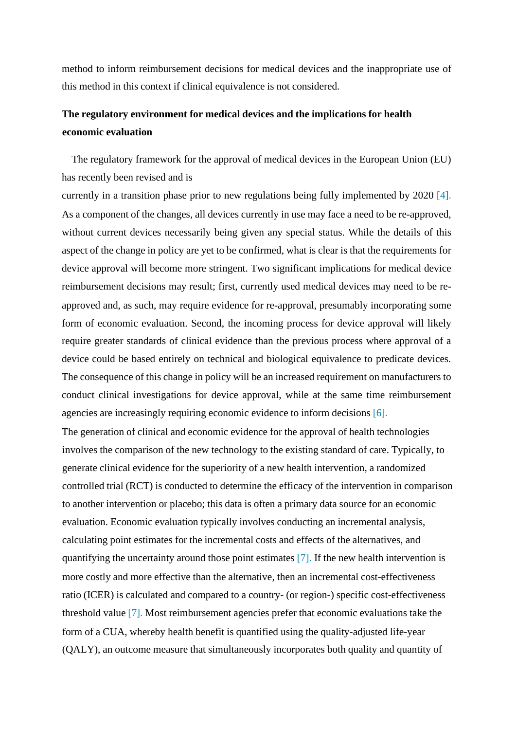method to inform reimbursement decisions for medical devices and the inappropriate use of this method in this context if clinical equivalence is not considered.

# **The regulatory environment for medical devices and the implications for health economic evaluation**

The regulatory framework for the approval of medical devices in the European Union (EU) has recently been revised and is

currently in a transition phase prior to new regulations being fully implemented by 2020 [4]. As a component of the changes, all devices currently in use may face a need to be re-approved, without current devices necessarily being given any special status. While the details of this aspect of the change in policy are yet to be confirmed, what is clear is that the requirements for device approval will become more stringent. Two significant implications for medical device reimbursement decisions may result; first, currently used medical devices may need to be reapproved and, as such, may require evidence for re-approval, presumably incorporating some form of economic evaluation. Second, the incoming process for device approval will likely require greater standards of clinical evidence than the previous process where approval of a device could be based entirely on technical and biological equivalence to predicate devices. The consequence of this change in policy will be an increased requirement on manufacturers to conduct clinical investigations for device approval, while at the same time reimbursement agencies are increasingly requiring economic evidence to inform decisions [6].

The generation of clinical and economic evidence for the approval of health technologies involves the comparison of the new technology to the existing standard of care. Typically, to generate clinical evidence for the superiority of a new health intervention, a randomized controlled trial (RCT) is conducted to determine the efficacy of the intervention in comparison to another intervention or placebo; this data is often a primary data source for an economic evaluation. Economic evaluation typically involves conducting an incremental analysis, calculating point estimates for the incremental costs and effects of the alternatives, and quantifying the uncertainty around those point estimates [7]. If the new health intervention is more costly and more effective than the alternative, then an incremental cost-effectiveness ratio (ICER) is calculated and compared to a country- (or region-) specific cost-effectiveness threshold value [7]. Most reimbursement agencies prefer that economic evaluations take the form of a CUA, whereby health benefit is quantified using the quality-adjusted life-year (QALY), an outcome measure that simultaneously incorporates both quality and quantity of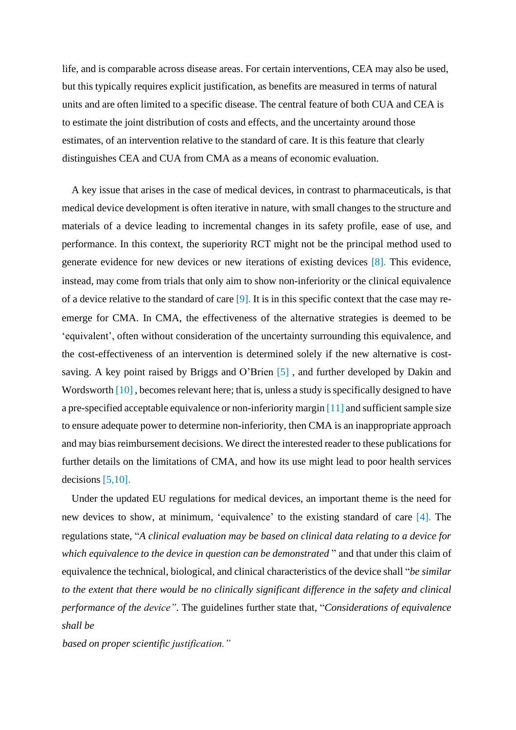life, and is comparable across disease areas. For certain interventions, CEA may also be used, but this typically requires explicit justification, as benefits are measured in terms of natural units and are often limited to a specific disease. The central feature of both CUA and CEA is to estimate the joint distribution of costs and effects, and the uncertainty around those estimates, of an intervention relative to the standard of care. It is this feature that clearly distinguishes CEA and CUA from CMA as a means of economic evaluation.

A key issue that arises in the case of medical devices, in contrast to pharmaceuticals, is that medical device development is often iterative in nature, with small changes to the structure and materials of a device leading to incremental changes in its safety profile, ease of use, and performance. In this context, the superiority RCT might not be the principal method used to generate evidence for new devices or new iterations of existing devices [8]. This evidence, instead, may come from trials that only aim to show non-inferiority or the clinical equivalence of a device relative to the standard of care [9]. It is in this specific context that the case may reemerge for CMA. In CMA, the effectiveness of the alternative strategies is deemed to be 'equivalent', often without consideration of the uncertainty surrounding this equivalence, and the cost-effectiveness of an intervention is determined solely if the new alternative is costsaving. A key point raised by Briggs and O'Brien [5] , and further developed by Dakin and Wordsworth  $[10]$ , becomes relevant here; that is, unless a study is specifically designed to have a pre-specified acceptable equivalence or non-inferiority margin  $[11]$  and sufficient sample size to ensure adequate power to determine non-inferiority, then CMA is an inappropriate approach and may bias reimbursement decisions. We direct the interested reader to these publications for further details on the limitations of CMA, and how its use might lead to poor health services decisions [5,10].

Under the updated EU regulations for medical devices, an important theme is the need for new devices to show, at minimum, 'equivalence' to the existing standard of care [4]. The regulations state, "*A clinical evaluation may be based on clinical data relating to a device for which equivalence to the device in question can be demonstrated* " and that under this claim of equivalence the technical, biological, and clinical characteristics of the device shall "*be similar to the extent that there would be no clinically significant difference in the safety and clinical performance of the device"*. The guidelines further state that, "*Considerations of equivalence shall be*

*based on proper scientific justification."*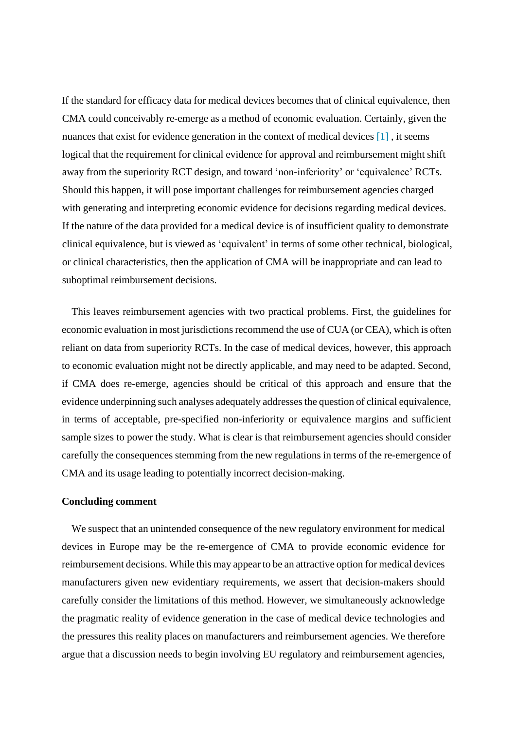If the standard for efficacy data for medical devices becomes that of clinical equivalence, then CMA could conceivably re-emerge as a method of economic evaluation. Certainly, given the nuances that exist for evidence generation in the context of medical devices [1], it seems logical that the requirement for clinical evidence for approval and reimbursement might shift away from the superiority RCT design, and toward 'non-inferiority' or 'equivalence' RCTs. Should this happen, it will pose important challenges for reimbursement agencies charged with generating and interpreting economic evidence for decisions regarding medical devices. If the nature of the data provided for a medical device is of insufficient quality to demonstrate clinical equivalence, but is viewed as 'equivalent' in terms of some other technical, biological, or clinical characteristics, then the application of CMA will be inappropriate and can lead to suboptimal reimbursement decisions.

This leaves reimbursement agencies with two practical problems. First, the guidelines for economic evaluation in most jurisdictions recommend the use of CUA (or CEA), which is often reliant on data from superiority RCTs. In the case of medical devices, however, this approach to economic evaluation might not be directly applicable, and may need to be adapted. Second, if CMA does re-emerge, agencies should be critical of this approach and ensure that the evidence underpinning such analyses adequately addressesthe question of clinical equivalence, in terms of acceptable, pre-specified non-inferiority or equivalence margins and sufficient sample sizes to power the study. What is clear is that reimbursement agencies should consider carefully the consequences stemming from the new regulations in terms of the re-emergence of CMA and its usage leading to potentially incorrect decision-making.

## **Concluding comment**

We suspect that an unintended consequence of the new regulatory environment for medical devices in Europe may be the re-emergence of CMA to provide economic evidence for reimbursement decisions. While this may appear to be an attractive option for medical devices manufacturers given new evidentiary requirements, we assert that decision-makers should carefully consider the limitations of this method. However, we simultaneously acknowledge the pragmatic reality of evidence generation in the case of medical device technologies and the pressures this reality places on manufacturers and reimbursement agencies. We therefore argue that a discussion needs to begin involving EU regulatory and reimbursement agencies,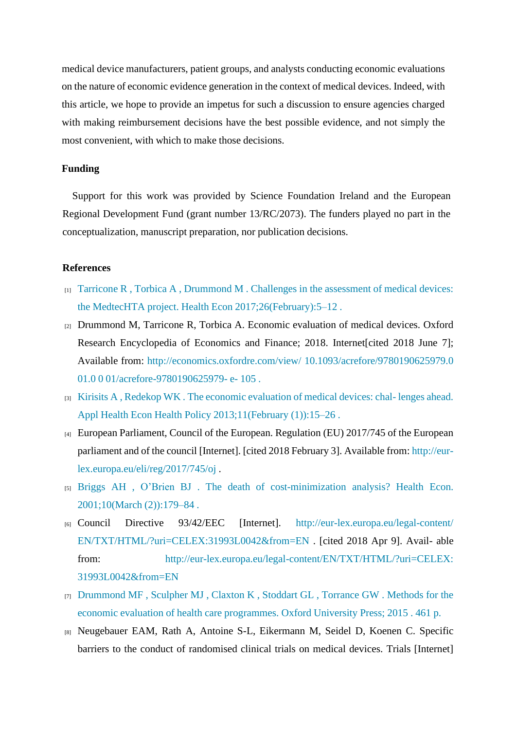medical device manufacturers, patient groups, and analysts conducting economic evaluations on the nature of economic evidence generation in the context of medical devices. Indeed, with this article, we hope to provide an impetus for such a discussion to ensure agencies charged with making reimbursement decisions have the best possible evidence, and not simply the most convenient, with which to make those decisions.

## **Funding**

Support for this work was provided by Science Foundation Ireland and the European Regional Development Fund (grant number 13/RC/2073). The funders played no part in the conceptualization, manuscript preparation, nor publication decisions.

#### **References**

- $_{[1]}$  [Tarricone](http://refhub.elsevier.com/S2211-8837(18)30060-1/sbref0001) [R](http://refhub.elsevier.com/S2211-8837(18)30060-1/sbref0001)[,](http://refhub.elsevier.com/S2211-8837(18)30060-1/sbref0001) [Torbica](http://refhub.elsevier.com/S2211-8837(18)30060-1/sbref0001) [A](http://refhub.elsevier.com/S2211-8837(18)30060-1/sbref0001), [Drummond](http://refhub.elsevier.com/S2211-8837(18)30060-1/sbref0001) [M](http://refhub.elsevier.com/S2211-8837(18)30060-1/sbref0001)[.](http://refhub.elsevier.com/S2211-8837(18)30060-1/sbref0001) [Challenges](http://refhub.elsevier.com/S2211-8837(18)30060-1/sbref0001) [in](http://refhub.elsevier.com/S2211-8837(18)30060-1/sbref0001) [the](http://refhub.elsevier.com/S2211-8837(18)30060-1/sbref0001) [assessment](http://refhub.elsevier.com/S2211-8837(18)30060-1/sbref0001) [of](http://refhub.elsevier.com/S2211-8837(18)30060-1/sbref0001) [medical](http://refhub.elsevier.com/S2211-8837(18)30060-1/sbref0001) [devices:](http://refhub.elsevier.com/S2211-8837(18)30060-1/sbref0001) [the](http://refhub.elsevier.com/S2211-8837(18)30060-1/sbref0001) [MedtecHTA](http://refhub.elsevier.com/S2211-8837(18)30060-1/sbref0001) [project.](http://refhub.elsevier.com/S2211-8837(18)30060-1/sbref0001) [Health](http://refhub.elsevier.com/S2211-8837(18)30060-1/sbref0001) [Econ](http://refhub.elsevier.com/S2211-8837(18)30060-1/sbref0001) [2017;26\(February\):5–12](http://refhub.elsevier.com/S2211-8837(18)30060-1/sbref0001) [.](http://refhub.elsevier.com/S2211-8837(18)30060-1/sbref0001)
- [2] Drummond M, Tarricone R, Torbica A. Economic evaluation of medical devices. Oxford Research Encyclopedia of Economics and Finance; 2018. Inte[rnet\[cited](http://economics.oxfordre.com/view/10.1093/acrefore/9780190625979.001.0001/acrefore-9780190625979-e-105) [2018](http://economics.oxfordre.com/view/10.1093/acrefore/9780190625979.001.0001/acrefore-9780190625979-e-105) [June](http://economics.oxfordre.com/view/10.1093/acrefore/9780190625979.001.0001/acrefore-9780190625979-e-105) [7\];](http://economics.oxfordre.com/view/10.1093/acrefore/9780190625979.001.0001/acrefore-9780190625979-e-105) [Available](http://economics.oxfordre.com/view/10.1093/acrefore/9780190625979.001.0001/acrefore-9780190625979-e-105) [from:](http://economics.oxfordre.com/view/10.1093/acrefore/9780190625979.001.0001/acrefore-9780190625979-e-105) [http://economics.oxfordre.com/view/](http://economics.oxfordre.com/view/10.1093/acrefore/9780190625979.001.0001/acrefore-9780190625979-e-105) [10.1093/acrefore/9780190625979.0](http://economics.oxfordre.com/view/10.1093/acrefore/9780190625979.001.0001/acrefore-9780190625979-e-105) [01.0](http://economics.oxfordre.com/view/10.1093/acrefore/9780190625979.001.0001/acrefore-9780190625979-e-105) [0](http://economics.oxfordre.com/view/10.1093/acrefore/9780190625979.001.0001/acrefore-9780190625979-e-105) [01/acrefore-9780190625979-](http://economics.oxfordre.com/view/10.1093/acrefore/9780190625979.001.0001/acrefore-9780190625979-e-105) [e-](http://economics.oxfordre.com/view/10.1093/acrefore/9780190625979.001.0001/acrefore-9780190625979-e-105) [105](http://economics.oxfordre.com/view/10.1093/acrefore/9780190625979.001.0001/acrefore-9780190625979-e-105)[.](http://economics.oxfordre.com/view/10.1093/acrefore/9780190625979.001.0001/acrefore-9780190625979-e-105)
- $_{[3]}$  [Kirisits](http://refhub.elsevier.com/S2211-8837(18)30060-1/sbref0003) [A](http://refhub.elsevier.com/S2211-8837(18)30060-1/sbref0003)[,](http://refhub.elsevier.com/S2211-8837(18)30060-1/sbref0003) [Redekop](http://refhub.elsevier.com/S2211-8837(18)30060-1/sbref0003) [WK](http://refhub.elsevier.com/S2211-8837(18)30060-1/sbref0003)[.](http://refhub.elsevier.com/S2211-8837(18)30060-1/sbref0003) [The](http://refhub.elsevier.com/S2211-8837(18)30060-1/sbref0003) [economic](http://refhub.elsevier.com/S2211-8837(18)30060-1/sbref0003) [evaluation](http://refhub.elsevier.com/S2211-8837(18)30060-1/sbref0003) [of](http://refhub.elsevier.com/S2211-8837(18)30060-1/sbref0003) [medical](http://refhub.elsevier.com/S2211-8837(18)30060-1/sbref0003) [devices:](http://refhub.elsevier.com/S2211-8837(18)30060-1/sbref0003) [chal-](http://refhub.elsevier.com/S2211-8837(18)30060-1/sbref0003) [lenges](http://refhub.elsevier.com/S2211-8837(18)30060-1/sbref0003) [ahead.](http://refhub.elsevier.com/S2211-8837(18)30060-1/sbref0003) [Appl](http://refhub.elsevier.com/S2211-8837(18)30060-1/sbref0003) [Health](http://refhub.elsevier.com/S2211-8837(18)30060-1/sbref0003) [Econ](http://refhub.elsevier.com/S2211-8837(18)30060-1/sbref0003) [Health](http://refhub.elsevier.com/S2211-8837(18)30060-1/sbref0003) [Policy](http://refhub.elsevier.com/S2211-8837(18)30060-1/sbref0003) [2013;11\(February](http://refhub.elsevier.com/S2211-8837(18)30060-1/sbref0003) [\(1\)\):15–26](http://refhub.elsevier.com/S2211-8837(18)30060-1/sbref0003) [.](http://refhub.elsevier.com/S2211-8837(18)30060-1/sbref0003)
- [4] European Parliament, Council of the European. Regulation (EU) 2017/745 of the European parliament and of the council [Internet]. [cited 2018 February 3]. Available from: [http://eur](http://eur-lex.europa.eu/eli/reg/2017/745/oj)[lex.europa.eu/eli/reg/2017/745/oj](http://eur-lex.europa.eu/eli/reg/2017/745/oj) [.](http://eur-lex.europa.eu/eli/reg/2017/745/oj)
- [5] [Briggs](http://refhub.elsevier.com/S2211-8837(18)30060-1/sbref0004) [AH](http://refhub.elsevier.com/S2211-8837(18)30060-1/sbref0004) [,](http://refhub.elsevier.com/S2211-8837(18)30060-1/sbref0004) [O'Brien](http://refhub.elsevier.com/S2211-8837(18)30060-1/sbref0004) [BJ](http://refhub.elsevier.com/S2211-8837(18)30060-1/sbref0004) [.](http://refhub.elsevier.com/S2211-8837(18)30060-1/sbref0004) [The](http://refhub.elsevier.com/S2211-8837(18)30060-1/sbref0004) [death](http://refhub.elsevier.com/S2211-8837(18)30060-1/sbref0004) [of](http://refhub.elsevier.com/S2211-8837(18)30060-1/sbref0004) [cost-minimization](http://refhub.elsevier.com/S2211-8837(18)30060-1/sbref0004) [analysis?](http://refhub.elsevier.com/S2211-8837(18)30060-1/sbref0004) [Health](http://refhub.elsevier.com/S2211-8837(18)30060-1/sbref0004) [Econ.](http://refhub.elsevier.com/S2211-8837(18)30060-1/sbref0004) [2001;10\(March](http://refhub.elsevier.com/S2211-8837(18)30060-1/sbref0004) [\(2\)\):179–84](http://refhub.elsevier.com/S2211-8837(18)30060-1/sbref0004) [.](http://refhub.elsevier.com/S2211-8837(18)30060-1/sbref0004)
- [6] [Council](http://eur-lex.europa.eu/legal-content/EN/TXT/HTML/?uri=CELEX:31993L0042&from=EN) [Directive](http://eur-lex.europa.eu/legal-content/EN/TXT/HTML/?uri=CELEX:31993L0042&from=EN) [93/42/EEC](http://eur-lex.europa.eu/legal-content/EN/TXT/HTML/?uri=CELEX:31993L0042&from=EN) [\[Internet\].](http://eur-lex.europa.eu/legal-content/EN/TXT/HTML/?uri=CELEX:31993L0042&from=EN) [http://eur-lex.europa.eu/legal-content/](http://eur-lex.europa.eu/legal-content/EN/TXT/HTML/?uri=CELEX:31993L0042&from=EN) [EN/TXT/HTML/?uri=CELEX:31993L0042&from=EN](http://eur-lex.europa.eu/legal-content/EN/TXT/HTML/?uri=CELEX:31993L0042&from=EN) [.](http://eur-lex.europa.eu/legal-content/EN/TXT/HTML/?uri=CELEX:31993L0042&from=EN) [\[cited](http://eur-lex.europa.eu/legal-content/EN/TXT/HTML/?uri=CELEX:31993L0042&from=EN) [2018](http://eur-lex.europa.eu/legal-content/EN/TXT/HTML/?uri=CELEX:31993L0042&from=EN) [Apr](http://eur-lex.europa.eu/legal-content/EN/TXT/HTML/?uri=CELEX:31993L0042&from=EN) [9\].](http://eur-lex.europa.eu/legal-content/EN/TXT/HTML/?uri=CELEX:31993L0042&from=EN) [Avail-](http://eur-lex.europa.eu/legal-content/EN/TXT/HTML/?uri=CELEX:31993L0042&from=EN) [able](http://eur-lex.europa.eu/legal-content/EN/TXT/HTML/?uri=CELEX:31993L0042&from=EN) [from:](http://eur-lex.europa.eu/legal-content/EN/TXT/HTML/?uri=CELEX:31993L0042&from=EN) [http://eur-lex.europa.eu/legal-content/EN/TXT/HTML/?uri=CELEX:](http://eur-lex.europa.eu/legal-content/EN/TXT/HTML/?uri=CELEX:31993L0042&from=EN) [31993L0042&from=EN](http://eur-lex.europa.eu/legal-content/EN/TXT/HTML/?uri=CELEX:31993L0042&from=EN)
- [7] [Drummond](http://refhub.elsevier.com/S2211-8837(18)30060-1/sbref0005) [MF](http://refhub.elsevier.com/S2211-8837(18)30060-1/sbref0005) [,](http://refhub.elsevier.com/S2211-8837(18)30060-1/sbref0005) [Sculpher](http://refhub.elsevier.com/S2211-8837(18)30060-1/sbref0005) [MJ](http://refhub.elsevier.com/S2211-8837(18)30060-1/sbref0005) [,](http://refhub.elsevier.com/S2211-8837(18)30060-1/sbref0005) [Claxton](http://refhub.elsevier.com/S2211-8837(18)30060-1/sbref0005) [K](http://refhub.elsevier.com/S2211-8837(18)30060-1/sbref0005) [,](http://refhub.elsevier.com/S2211-8837(18)30060-1/sbref0005) [Stoddart](http://refhub.elsevier.com/S2211-8837(18)30060-1/sbref0005) [GL](http://refhub.elsevier.com/S2211-8837(18)30060-1/sbref0005) [,](http://refhub.elsevier.com/S2211-8837(18)30060-1/sbref0005) [Torrance](http://refhub.elsevier.com/S2211-8837(18)30060-1/sbref0005) [GW](http://refhub.elsevier.com/S2211-8837(18)30060-1/sbref0005) [.](http://refhub.elsevier.com/S2211-8837(18)30060-1/sbref0005) [Methods](http://refhub.elsevier.com/S2211-8837(18)30060-1/sbref0005) [for](http://refhub.elsevier.com/S2211-8837(18)30060-1/sbref0005) [the](http://refhub.elsevier.com/S2211-8837(18)30060-1/sbref0005) [economic](http://refhub.elsevier.com/S2211-8837(18)30060-1/sbref0005) [evaluation](http://refhub.elsevier.com/S2211-8837(18)30060-1/sbref0005) [of](http://refhub.elsevier.com/S2211-8837(18)30060-1/sbref0005) [health](http://refhub.elsevier.com/S2211-8837(18)30060-1/sbref0005) [care](http://refhub.elsevier.com/S2211-8837(18)30060-1/sbref0005) [programmes.](http://refhub.elsevier.com/S2211-8837(18)30060-1/sbref0005) [Oxford](http://refhub.elsevier.com/S2211-8837(18)30060-1/sbref0005) [University](http://refhub.elsevier.com/S2211-8837(18)30060-1/sbref0005) [Press;](http://refhub.elsevier.com/S2211-8837(18)30060-1/sbref0005) [2015](http://refhub.elsevier.com/S2211-8837(18)30060-1/sbref0005) [.](http://refhub.elsevier.com/S2211-8837(18)30060-1/sbref0005) [461](http://refhub.elsevier.com/S2211-8837(18)30060-1/sbref0005) [p.](http://refhub.elsevier.com/S2211-8837(18)30060-1/sbref0005)
- [8] Neugebauer EAM, Rath A, Antoine S-L, Eikermann M, Seidel D, Koenen C. Specific barriers to the conduct of randomised clinical trials on medical d[evices.](https://www.ncbi.nlm.nih.gov/pmc/articles/PMC5597993/) [Trials](https://www.ncbi.nlm.nih.gov/pmc/articles/PMC5597993/) [\[Internet\]](https://www.ncbi.nlm.nih.gov/pmc/articles/PMC5597993/)